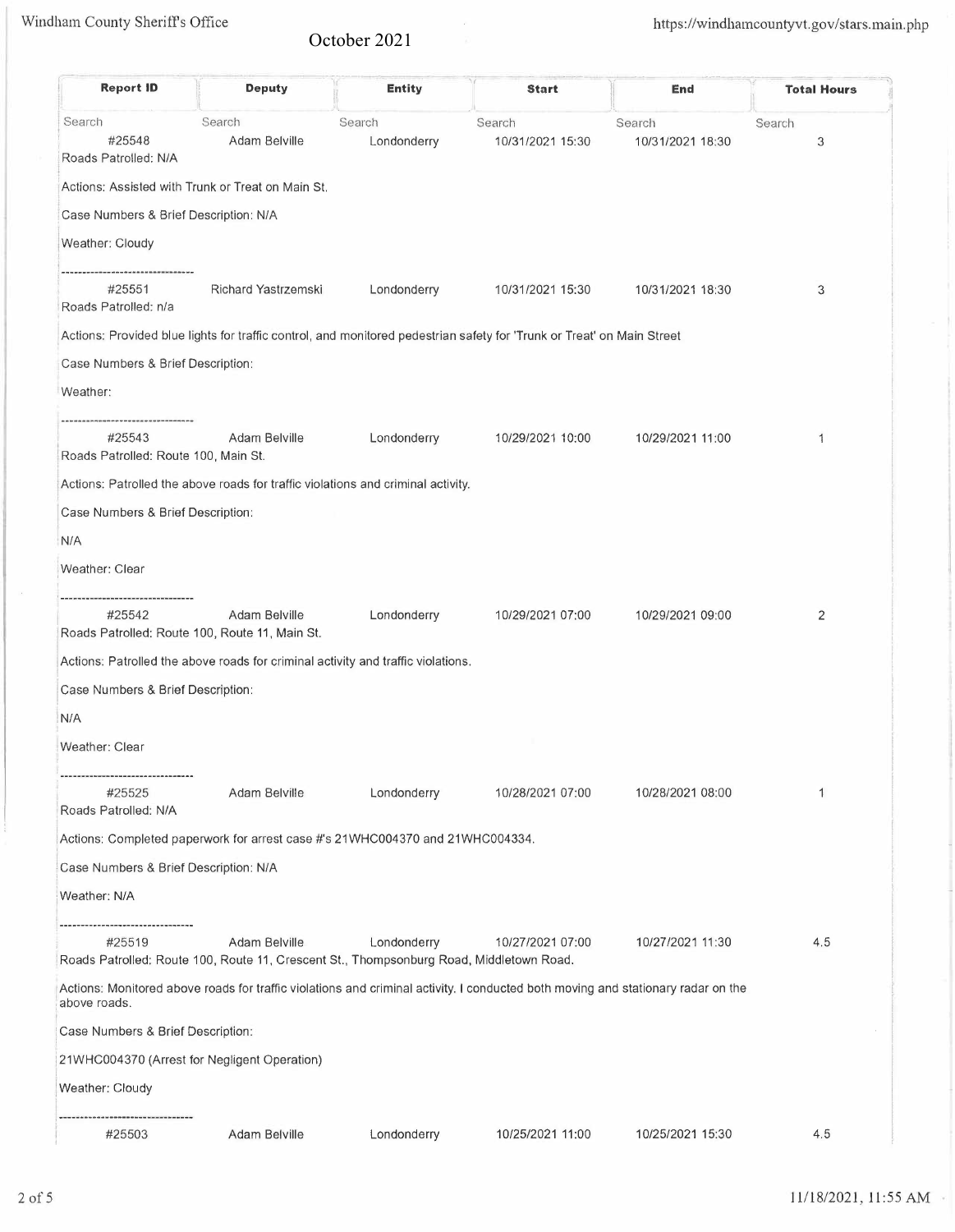## October 2021

 $\ddot{\phantom{a}}$ 

| <b>Report ID</b>                                                         | <b>Deputy</b>                                                                                            | <b>Entity</b> | <b>Start</b>                                                                                                                     | End              | <b>Total Hours</b> |
|--------------------------------------------------------------------------|----------------------------------------------------------------------------------------------------------|---------------|----------------------------------------------------------------------------------------------------------------------------------|------------------|--------------------|
| Search                                                                   | Search                                                                                                   | Search        | Search                                                                                                                           | Search           | Search             |
| #25548<br>Roads Patrolled: N/A                                           | Adam Belville                                                                                            | Londonderry   | 10/31/2021 15:30                                                                                                                 | 10/31/2021 18:30 | 3                  |
|                                                                          | Actions: Assisted with Trunk or Treat on Main St.                                                        |               |                                                                                                                                  |                  |                    |
| Case Numbers & Brief Description: N/A                                    |                                                                                                          |               |                                                                                                                                  |                  |                    |
| Weather: Cloudy                                                          |                                                                                                          |               |                                                                                                                                  |                  |                    |
| <br>#25551<br>Roads Patrolled: n/a                                       | Richard Yastrzemski                                                                                      | Londonderry   | 10/31/2021 15:30                                                                                                                 | 10/31/2021 18:30 | 3                  |
|                                                                          |                                                                                                          |               | Actions: Provided blue lights for traffic control, and monitored pedestrian safety for 'Trunk or Treat' on Main Street           |                  |                    |
| Case Numbers & Brief Description:                                        |                                                                                                          |               |                                                                                                                                  |                  |                    |
| Weather:                                                                 |                                                                                                          |               |                                                                                                                                  |                  |                    |
| <br>#25543<br>Roads Patrolled: Route 100, Main St.                       | Adam Belville                                                                                            | Londonderry   | 10/29/2021 10:00                                                                                                                 | 10/29/2021 11:00 | 1                  |
|                                                                          | Actions: Patrolled the above roads for traffic violations and criminal activity.                         |               |                                                                                                                                  |                  |                    |
| Case Numbers & Brief Description:                                        |                                                                                                          |               |                                                                                                                                  |                  |                    |
| N/A                                                                      |                                                                                                          |               |                                                                                                                                  |                  |                    |
| Weather: Clear                                                           |                                                                                                          |               |                                                                                                                                  |                  |                    |
| -------------------------------<br>#25542                                | Adam Belville<br>Roads Patrolled: Route 100, Route 11, Main St.                                          | Londonderry   | 10/29/2021 07:00                                                                                                                 | 10/29/2021 09:00 | 2                  |
|                                                                          | Actions: Patrolled the above roads for criminal activity and traffic violations.                         |               |                                                                                                                                  |                  |                    |
| Case Numbers & Brief Description:                                        |                                                                                                          |               |                                                                                                                                  |                  |                    |
| N/A                                                                      |                                                                                                          |               |                                                                                                                                  |                  |                    |
| Weather: Clear                                                           |                                                                                                          |               |                                                                                                                                  |                  |                    |
| --------------------------------------<br>#25525<br>Roads Patrolled: N/A | Adam Belville                                                                                            | Londonderry   | 10/28/2021 07:00                                                                                                                 | 10/28/2021 08:00 | 1                  |
|                                                                          | Actions: Completed paperwork for arrest case #'s 21WHC004370 and 21WHC004334.                            |               |                                                                                                                                  |                  |                    |
| Case Numbers & Brief Description: N/A                                    |                                                                                                          |               |                                                                                                                                  |                  |                    |
| Weather: N/A                                                             |                                                                                                          |               |                                                                                                                                  |                  |                    |
|                                                                          |                                                                                                          |               |                                                                                                                                  |                  |                    |
| #25519                                                                   | Adam Belville<br>Roads Patrolled: Route 100, Route 11, Crescent St., Thompsonburg Road, Middletown Road. | Londonderry   | 10/27/2021 07:00                                                                                                                 | 10/27/2021 11:30 | 4.5                |
| above roads.                                                             |                                                                                                          |               | Actions: Monitored above roads for traffic violations and criminal activity. I conducted both moving and stationary radar on the |                  |                    |
| Case Numbers & Brief Description:                                        |                                                                                                          |               |                                                                                                                                  |                  |                    |
|                                                                          | 21WHC004370 (Arrest for Negligent Operation)                                                             |               |                                                                                                                                  |                  |                    |
| Weather: Cloudy                                                          |                                                                                                          |               |                                                                                                                                  |                  |                    |
| #25503                                                                   | Adam Belville                                                                                            | Londonderry   | 10/25/2021 11:00                                                                                                                 | 10/25/2021 15:30 | 4.5                |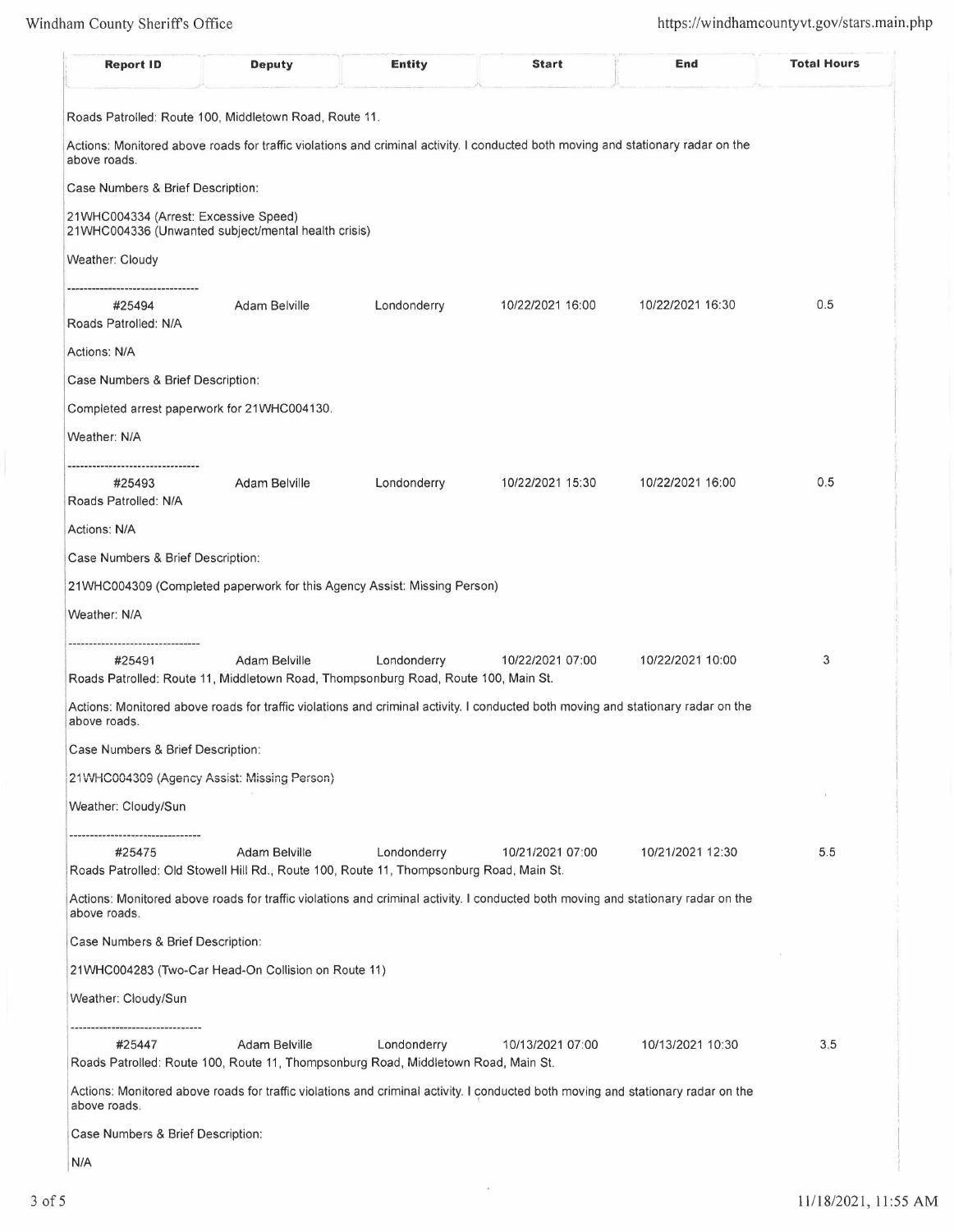| <b>Report ID</b>                                                                                                 | <b>Deputy</b>                                                                                            | <b>Entity</b> | <b>Start</b>                                                                                                                     | End              | <b>Total Hours</b> |
|------------------------------------------------------------------------------------------------------------------|----------------------------------------------------------------------------------------------------------|---------------|----------------------------------------------------------------------------------------------------------------------------------|------------------|--------------------|
| Roads Patrolled: Route 100, Middletown Road, Route 11.                                                           |                                                                                                          |               |                                                                                                                                  |                  |                    |
| above roads.                                                                                                     |                                                                                                          |               | Actions: Monitored above roads for traffic violations and criminal activity. I conducted both moving and stationary radar on the |                  |                    |
| Case Numbers & Brief Description:                                                                                |                                                                                                          |               |                                                                                                                                  |                  |                    |
| 21WHC004334 (Arrest: Excessive Speed)<br>21WHC004336 (Unwanted subject/mental health crisis)                     |                                                                                                          |               |                                                                                                                                  |                  |                    |
| <b>Weather: Cloudy</b>                                                                                           |                                                                                                          |               |                                                                                                                                  |                  |                    |
| #25494<br>Roads Patrolled: N/A                                                                                   | Adam Belville                                                                                            | Londonderry   | 10/22/2021 16:00                                                                                                                 | 10/22/2021 16:30 | 0.5                |
| Actions: N/A                                                                                                     |                                                                                                          |               |                                                                                                                                  |                  |                    |
| Case Numbers & Brief Description:                                                                                |                                                                                                          |               |                                                                                                                                  |                  |                    |
| Completed arrest paperwork for 21WHC004130.                                                                      |                                                                                                          |               |                                                                                                                                  |                  |                    |
| Weather: N/A                                                                                                     |                                                                                                          |               |                                                                                                                                  |                  |                    |
| ----------------------------<br>#25493<br>Roads Patrolled: N/A                                                   | Adam Belville                                                                                            | Londonderry   | 10/22/2021 15:30                                                                                                                 | 10/22/2021 16:00 | 0.5                |
| Actions: N/A                                                                                                     |                                                                                                          |               |                                                                                                                                  |                  |                    |
| Case Numbers & Brief Description:                                                                                |                                                                                                          |               |                                                                                                                                  |                  |                    |
| 21WHC004309 (Completed paperwork for this Agency Assist: Missing Person)                                         |                                                                                                          |               |                                                                                                                                  |                  |                    |
| Weather: N/A                                                                                                     |                                                                                                          |               |                                                                                                                                  |                  |                    |
| ----------------<br>#25491<br>Roads Patrolled: Route 11, Middletown Road, Thompsonburg Road, Route 100, Main St. | Adam Belville                                                                                            | Londonderry   | 10/22/2021 07:00                                                                                                                 | 10/22/2021 10:00 | 3                  |
| above roads.                                                                                                     |                                                                                                          |               | Actions: Monitored above roads for traffic violations and criminal activity. I conducted both moving and stationary radar on the |                  |                    |
| Case Numbers & Brief Description:                                                                                |                                                                                                          |               |                                                                                                                                  |                  |                    |
| 21WHC004309 (Agency Assist: Missing Person)                                                                      |                                                                                                          |               |                                                                                                                                  |                  |                    |
| Weather: Cloudy/Sun                                                                                              |                                                                                                          |               |                                                                                                                                  |                  |                    |
| #25475                                                                                                           | Adam Belville<br>Roads Patrolled: Old Stowell Hill Rd., Route 100, Route 11, Thompsonburg Road, Main St. | Londonderry   | 10/21/2021 07:00                                                                                                                 | 10/21/2021 12:30 | 5.5                |
| above roads.                                                                                                     |                                                                                                          |               | Actions: Monitored above roads for traffic violations and criminal activity. I conducted both moving and stationary radar on the |                  |                    |
| Case Numbers & Brief Description:                                                                                |                                                                                                          |               |                                                                                                                                  |                  |                    |
|                                                                                                                  | 21WHC004283 (Two-Car Head-On Collision on Route 11)                                                      |               |                                                                                                                                  |                  |                    |
| Weather: Cloudy/Sun                                                                                              |                                                                                                          |               |                                                                                                                                  |                  |                    |
| ----------------------------------<br>#25447                                                                     | Adam Belville<br>Roads Patrolled: Route 100, Route 11, Thompsonburg Road, Middletown Road, Main St.      | Londonderry   | 10/13/2021 07:00                                                                                                                 | 10/13/2021 10:30 | 3.5                |
| above roads.                                                                                                     |                                                                                                          |               | Actions: Monitored above roads for traffic violations and criminal activity. I conducted both moving and stationary radar on the |                  |                    |
| Case Numbers & Brief Description:                                                                                |                                                                                                          |               |                                                                                                                                  |                  |                    |
| N/A                                                                                                              |                                                                                                          |               |                                                                                                                                  |                  |                    |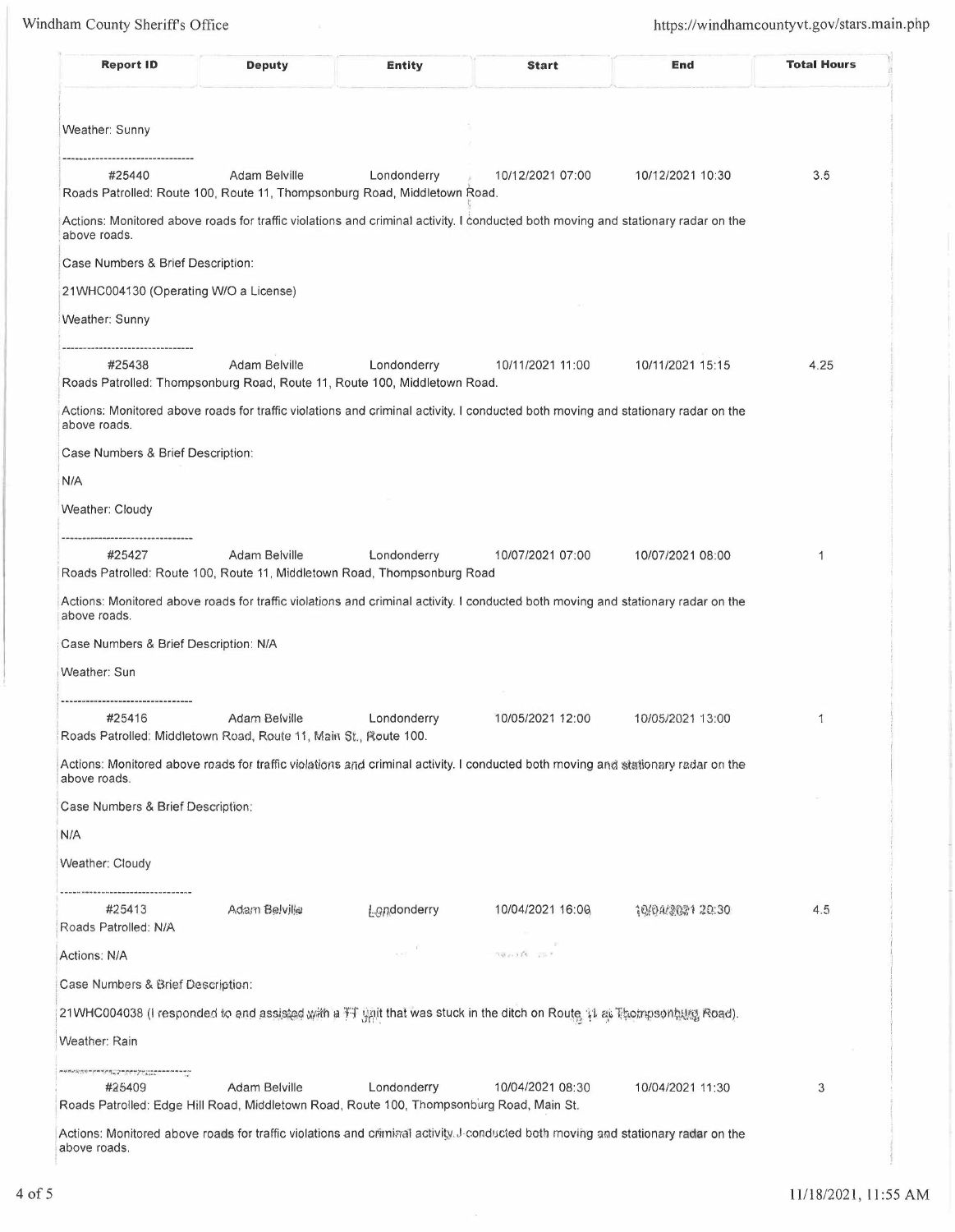| <b>Report ID</b>                                                                                                                            | <b>Deputy</b>                                                                              | <b>Entity</b>           | <b>Start</b>                                                                                                                                         | End              | <b>Total Hours</b> |
|---------------------------------------------------------------------------------------------------------------------------------------------|--------------------------------------------------------------------------------------------|-------------------------|------------------------------------------------------------------------------------------------------------------------------------------------------|------------------|--------------------|
| Weather: Sunny                                                                                                                              |                                                                                            |                         |                                                                                                                                                      |                  |                    |
|                                                                                                                                             |                                                                                            |                         |                                                                                                                                                      |                  |                    |
| #25440                                                                                                                                      | Adam Belville<br>Roads Patrolled: Route 100, Route 11, Thompsonburg Road, Middletown Road. | Londonderry             | 10/12/2021 07:00                                                                                                                                     | 10/12/2021 10:30 | 3.5                |
| above roads.                                                                                                                                |                                                                                            |                         | Actions: Monitored above roads for traffic violations and criminal activity. I conducted both moving and stationary radar on the                     |                  |                    |
| Case Numbers & Brief Description:                                                                                                           |                                                                                            |                         |                                                                                                                                                      |                  |                    |
| 21WHC004130 (Operating W/O a License)                                                                                                       |                                                                                            |                         |                                                                                                                                                      |                  |                    |
| Weather: Sunny                                                                                                                              |                                                                                            |                         |                                                                                                                                                      |                  |                    |
| #25438                                                                                                                                      | Adam Belville<br>Roads Patrolled: Thompsonburg Road, Route 11, Route 100, Middletown Road. | Londonderry             | 10/11/2021 11:00                                                                                                                                     | 10/11/2021 15:15 | 4.25               |
| above roads.                                                                                                                                |                                                                                            |                         | Actions: Monitored above roads for traffic violations and criminal activity. I conducted both moving and stationary radar on the                     |                  |                    |
| Case Numbers & Brief Description:                                                                                                           |                                                                                            |                         |                                                                                                                                                      |                  |                    |
| N/A                                                                                                                                         |                                                                                            |                         |                                                                                                                                                      |                  |                    |
| Weather: Cloudy                                                                                                                             |                                                                                            |                         |                                                                                                                                                      |                  |                    |
| <br>#25427<br>above roads.                                                                                                                  | Adam Belville<br>Roads Patrolled: Route 100, Route 11, Middletown Road, Thompsonburg Road  | Londonderry             | 10/07/2021 07:00<br>Actions: Monitored above roads for traffic violations and criminal activity. I conducted both moving and stationary radar on the | 10/07/2021 08:00 | $\mathbf{1}$       |
| Case Numbers & Brief Description: N/A                                                                                                       |                                                                                            |                         |                                                                                                                                                      |                  |                    |
| Weather: Sun                                                                                                                                |                                                                                            |                         |                                                                                                                                                      |                  |                    |
| --------------------------<br>#25416                                                                                                        | Adam Belville<br>Roads Patrolled: Middletown Road, Route 11, Main St., Route 100.          | Londonderry             | 10/05/2021 12:00                                                                                                                                     | 10/05/2021 13:00 | 1                  |
| above roads.                                                                                                                                |                                                                                            |                         | Actions: Monitored above roads for traffic violations and criminal activity. I conducted both moving and stationary radar on the                     |                  |                    |
| Case Numbers & Brief Description:                                                                                                           |                                                                                            |                         |                                                                                                                                                      |                  |                    |
| N/A                                                                                                                                         |                                                                                            |                         |                                                                                                                                                      |                  |                    |
| Weather: Cloudy                                                                                                                             |                                                                                            |                         |                                                                                                                                                      |                  |                    |
| -------------------------------<br>#25413                                                                                                   | Adam Belville                                                                              | <b>Londonderry</b>      | 10/04/2021 16:00                                                                                                                                     | 10/04/2021 20:30 | 4.5                |
| Roads Patrolled: N/A                                                                                                                        |                                                                                            |                         |                                                                                                                                                      |                  |                    |
| Actions: N/A                                                                                                                                |                                                                                            | $\lambda$ and $\lambda$ | $-148 + 3256$ $+225$                                                                                                                                 |                  |                    |
| Case Numbers & Brief Description:                                                                                                           |                                                                                            |                         |                                                                                                                                                      |                  |                    |
|                                                                                                                                             |                                                                                            |                         | 21WHC004038 (I responded to and assisted with a 开 gnit that was stuck in the ditch on Route 11 at Thompsonhung Road).                                |                  |                    |
| Weather: Rain                                                                                                                               |                                                                                            |                         |                                                                                                                                                      |                  |                    |
| こうきょうかい しょうきょう しゅうしょう アンディー・エー・エー・エステ<br>#25409<br>Roads Patrolled: Edge Hill Road, Middletown Road, Route 100, Thompsonburg Road, Main St. | Adam Belville                                                                              | Londonderry             | 10/04/2021 08:30                                                                                                                                     | 10/04/2021 11:30 | 3                  |
| above roads.                                                                                                                                |                                                                                            |                         | Actions: Monitored above roads for traffic violations and criminal activity. J-conducted both moving and stationary radar on the                     |                  |                    |